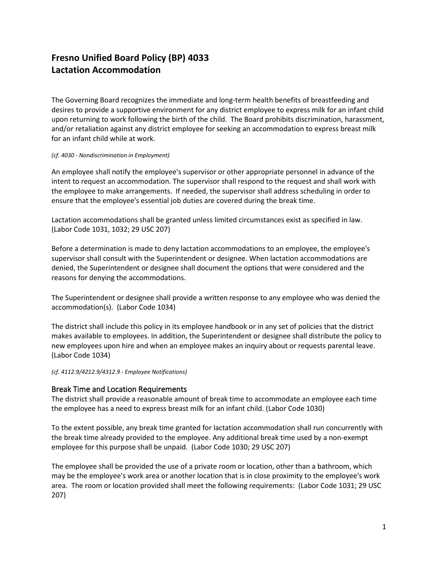# **Fresno Unified Board Policy (BP) 4033 Lactation Accommodation**

The Governing Board recognizes the immediate and long-term health benefits of breastfeeding and desires to provide a supportive environment for any district employee to express milk for an infant child upon returning to work following the birth of the child. The Board prohibits discrimination, harassment, and/or retaliation against any district employee for seeking an accommodation to express breast milk for an infant child while at work.

#### *(cf. 4030 - Nondiscrimination in Employment)*

An employee shall notify the employee's supervisor or other appropriate personnel in advance of the intent to request an accommodation. The supervisor shall respond to the request and shall work with the employee to make arrangements. If needed, the supervisor shall address scheduling in order to ensure that the employee's essential job duties are covered during the break time.

Lactation accommodations shall be granted unless limited circumstances exist as specified in law. (Labor Code 1031, 1032; 29 USC 207)

Before a determination is made to deny lactation accommodations to an employee, the employee's supervisor shall consult with the Superintendent or designee. When lactation accommodations are denied, the Superintendent or designee shall document the options that were considered and the reasons for denying the accommodations.

The Superintendent or designee shall provide a written response to any employee who was denied the accommodation(s). (Labor Code 1034)

The district shall include this policy in its employee handbook or in any set of policies that the district makes available to employees. In addition, the Superintendent or designee shall distribute the policy to new employees upon hire and when an employee makes an inquiry about or requests parental leave. (Labor Code 1034)

*(cf. 4112.9/4212.9/4312.9 - Employee Notifications)*

### Break Time and Location Requirements

The district shall provide a reasonable amount of break time to accommodate an employee each time the employee has a need to express breast milk for an infant child. (Labor Code 1030)

To the extent possible, any break time granted for lactation accommodation shall run concurrently with the break time already provided to the employee. Any additional break time used by a non-exempt employee for this purpose shall be unpaid. (Labor Code 1030; 29 USC 207)

The employee shall be provided the use of a private room or location, other than a bathroom, which may be the employee's work area or another location that is in close proximity to the employee's work area. The room or location provided shall meet the following requirements: (Labor Code 1031; 29 USC 207)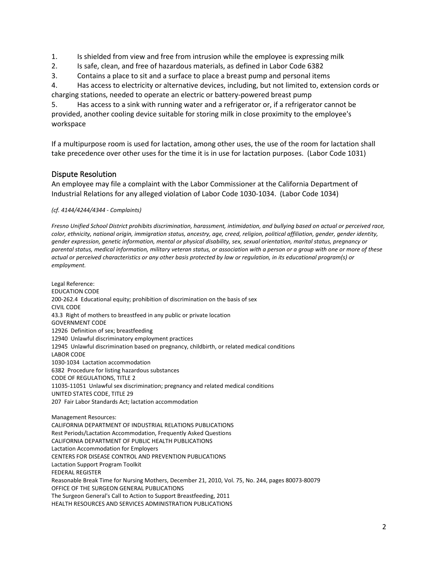1. Is shielded from view and free from intrusion while the employee is expressing milk

- 2. Is safe, clean, and free of hazardous materials, as defined in Labor Code 6382
- 3. Contains a place to sit and a surface to place a breast pump and personal items

4. Has access to electricity or alternative devices, including, but not limited to, extension cords or charging stations, needed to operate an electric or battery-powered breast pump

5. Has access to a sink with running water and a refrigerator or, if a refrigerator cannot be provided, another cooling device suitable for storing milk in close proximity to the employee's workspace

If a multipurpose room is used for lactation, among other uses, the use of the room for lactation shall take precedence over other uses for the time it is in use for lactation purposes. (Labor Code 1031)

## Dispute Resolution

An employee may file a complaint with the Labor Commissioner at the California Department of Industrial Relations for any alleged violation of Labor Code 1030-1034. (Labor Code 1034)

### *(cf. 4144/4244/4344 - Complaints)*

*Fresno Unified School District prohibits discrimination, harassment, intimidation, and bullying based on actual or perceived race, color, ethnicity, national origin, immigration status, ancestry, age, creed, religion, political affiliation, gender, gender identity, gender expression, genetic information, mental or physical disability, sex, sexual orientation, marital status, pregnancy or parental status, medical information, military veteran status, or association with a person or a group with one or more of these actual or perceived characteristics or any other basis protected by law or regulation, in its educational program(s) or employment.*

Legal Reference: EDUCATION CODE 200-262.4 Educational equity; prohibition of discrimination on the basis of sex CIVIL CODE 43.3 Right of mothers to breastfeed in any public or private location GOVERNMENT CODE 12926 Definition of sex; breastfeeding 12940 Unlawful discriminatory employment practices 12945 Unlawful discrimination based on pregnancy, childbirth, or related medical conditions LABOR CODE 1030-1034 Lactation accommodation 6382 Procedure for listing hazardous substances CODE OF REGULATIONS, TITLE 2 11035-11051 Unlawful sex discrimination; pregnancy and related medical conditions UNITED STATES CODE, TITLE 29 207 Fair Labor Standards Act; lactation accommodation Management Resources: CALIFORNIA DEPARTMENT OF INDUSTRIAL RELATIONS PUBLICATIONS Rest Periods/Lactation Accommodation, Frequently Asked Questions CALIFORNIA DEPARTMENT OF PUBLIC HEALTH PUBLICATIONS Lactation Accommodation for Employers CENTERS FOR DISEASE CONTROL AND PREVENTION PUBLICATIONS Lactation Support Program Toolkit FEDERAL REGISTER Reasonable Break Time for Nursing Mothers, December 21, 2010, Vol. 75, No. 244, pages 80073-80079 OFFICE OF THE SURGEON GENERAL PUBLICATIONS The Surgeon General's Call to Action to Support Breastfeeding, 2011 HEALTH RESOURCES AND SERVICES ADMINISTRATION PUBLICATIONS